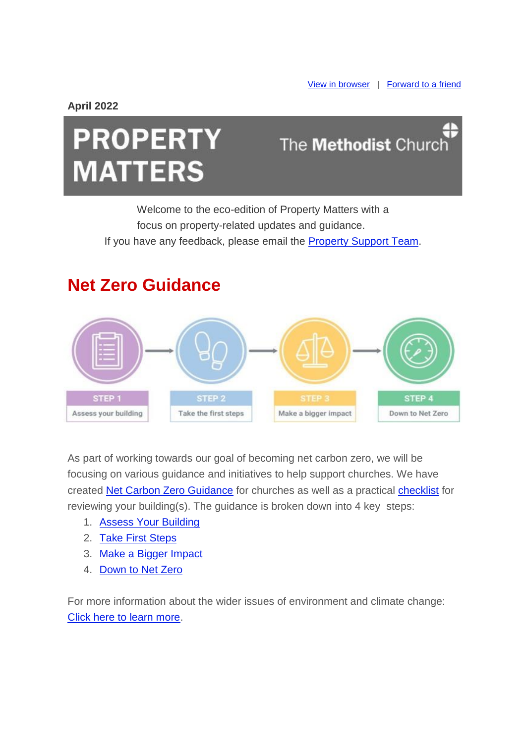**April 2022**

# **PROPERTY MATTERS**

## The Methodist Church

Welcome to the eco-edition of Property Matters with a focus on property-related updates and guidance. If you have any feedback, please email the [Property Support Team.](mailto:property@methodistchurch.org.uk?subject=Feedback)

### **Net Zero Guidance**



As part of working towards our goal of becoming net carbon zero, we will be focusing on various guidance and initiatives to help support churches. We have created [Net Carbon Zero Guidance](https://urldefense.proofpoint.com/v2/url?u=https-3A__methodist-2Dnews.org.uk_t_BVI-2D7SLRK-2DWOCGZJ-2D4RX15M-2D1_c.aspx&d=DwMFaQ&c=euGZstcaTDllvimEN8b7jXrwqOf-v5A_CdpgnVfiiMM&r=HVU4UP2FKbQdEeJRjJMFFTLfEDiOhBmJ91ReO8Puf50&m=yhQSrkfepeTA9JnbGE0SzUaK_37bFPDeNChTV3KqQPY&s=yJRq7mXwL73W49Ac8x9kK7Tky0nwVnTFEu5Xisvhpzw&e=) for churches as well as a practical [checklist](https://urldefense.proofpoint.com/v2/url?u=https-3A__methodist-2Dnews.org.uk_t_BVI-2D7SLRK-2DWOCGZJ-2D4S6JYF-2D1_c.aspx&d=DwMFaQ&c=euGZstcaTDllvimEN8b7jXrwqOf-v5A_CdpgnVfiiMM&r=HVU4UP2FKbQdEeJRjJMFFTLfEDiOhBmJ91ReO8Puf50&m=yhQSrkfepeTA9JnbGE0SzUaK_37bFPDeNChTV3KqQPY&s=pKNk4ve8XhYTKP-AnYIy8Uc8t88Po_WFnO2aIZf2qGg&e=) for reviewing your building(s). The guidance is broken down into 4 key steps:

- 1. [Assess Your Building](https://urldefense.proofpoint.com/v2/url?u=https-3A__methodist-2Dnews.org.uk_t_BVI-2D7SLRK-2DWOCGZJ-2D4RX15N-2D1_c.aspx&d=DwMFaQ&c=euGZstcaTDllvimEN8b7jXrwqOf-v5A_CdpgnVfiiMM&r=HVU4UP2FKbQdEeJRjJMFFTLfEDiOhBmJ91ReO8Puf50&m=yhQSrkfepeTA9JnbGE0SzUaK_37bFPDeNChTV3KqQPY&s=UmFOFqskEpoZBSz01GsEqtikn2qRy4pSIWGy-wD-3Cs&e=)
- 2. [Take First Steps](https://urldefense.proofpoint.com/v2/url?u=https-3A__methodist-2Dnews.org.uk_t_BVI-2D7SLRK-2DWOCGZJ-2D4RX15O-2D1_c.aspx&d=DwMFaQ&c=euGZstcaTDllvimEN8b7jXrwqOf-v5A_CdpgnVfiiMM&r=HVU4UP2FKbQdEeJRjJMFFTLfEDiOhBmJ91ReO8Puf50&m=yhQSrkfepeTA9JnbGE0SzUaK_37bFPDeNChTV3KqQPY&s=7G6JhER85e2yg9DWhDOgrVa-BzKIjoSKojAevdw_CgM&e=)
- 3. [Make a Bigger Impact](https://urldefense.proofpoint.com/v2/url?u=https-3A__methodist-2Dnews.org.uk_t_BVI-2D7SLRK-2DWOCGZJ-2D4RX15P-2D1_c.aspx&d=DwMFaQ&c=euGZstcaTDllvimEN8b7jXrwqOf-v5A_CdpgnVfiiMM&r=HVU4UP2FKbQdEeJRjJMFFTLfEDiOhBmJ91ReO8Puf50&m=yhQSrkfepeTA9JnbGE0SzUaK_37bFPDeNChTV3KqQPY&s=JlvwUXlJCDxQI15QCxzB2X_b2r5OvrqGUEx0qnKden8&e=)
- 4. [Down to Net Zero](https://urldefense.proofpoint.com/v2/url?u=https-3A__methodist-2Dnews.org.uk_t_BVI-2D7SLRK-2DWOCGZJ-2D4RX15Q-2D1_c.aspx&d=DwMFaQ&c=euGZstcaTDllvimEN8b7jXrwqOf-v5A_CdpgnVfiiMM&r=HVU4UP2FKbQdEeJRjJMFFTLfEDiOhBmJ91ReO8Puf50&m=yhQSrkfepeTA9JnbGE0SzUaK_37bFPDeNChTV3KqQPY&s=ewSLoDEgBQ2m16hSDBPZ6Otv-Dkm1NQux5TLA4dN7so&e=)

For more information about the wider issues of environment and climate change: [Click here to learn more.](https://urldefense.proofpoint.com/v2/url?u=https-3A__methodist-2Dnews.org.uk_t_BVI-2D7SLRK-2DWOCGZJ-2D4S6C4E-2D1_c.aspx&d=DwMFaQ&c=euGZstcaTDllvimEN8b7jXrwqOf-v5A_CdpgnVfiiMM&r=HVU4UP2FKbQdEeJRjJMFFTLfEDiOhBmJ91ReO8Puf50&m=yhQSrkfepeTA9JnbGE0SzUaK_37bFPDeNChTV3KqQPY&s=b1rm1pEbjl-RHDqHnObg7swd1xIk9ithvgx96JI5pTA&e=)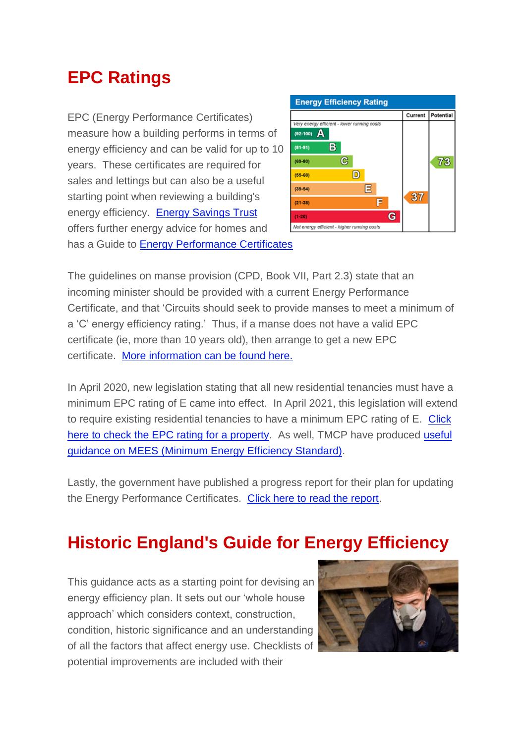### **EPC Ratings**

EPC (Energy Performance Certificates) measure how a building performs in terms of energy efficiency and can be valid for up to 10 years. These certificates are required for sales and lettings but can also be a useful starting point when reviewing a building's energy efficiency. [Energy Savings Trust](https://urldefense.proofpoint.com/v2/url?u=https-3A__methodist-2Dnews.org.uk_t_BVI-2D7SLRK-2DWOCGZJ-2D4RWL47-2D1_c.aspx&d=DwMFaQ&c=euGZstcaTDllvimEN8b7jXrwqOf-v5A_CdpgnVfiiMM&r=HVU4UP2FKbQdEeJRjJMFFTLfEDiOhBmJ91ReO8Puf50&m=yhQSrkfepeTA9JnbGE0SzUaK_37bFPDeNChTV3KqQPY&s=iIH4QBmnyWZMcajVcGbIRwcSVnx2DrLbz8WCcIwy-Mc&e=) offers further energy advice for homes and has a Guide to [Energy Performance Certificates](https://urldefense.proofpoint.com/v2/url?u=https-3A__methodist-2Dnews.org.uk_t_BVI-2D7SLRK-2DWOCGZJ-2D4RWL48-2D1_c.aspx&d=DwMFaQ&c=euGZstcaTDllvimEN8b7jXrwqOf-v5A_CdpgnVfiiMM&r=HVU4UP2FKbQdEeJRjJMFFTLfEDiOhBmJ91ReO8Puf50&m=yhQSrkfepeTA9JnbGE0SzUaK_37bFPDeNChTV3KqQPY&s=_s89OsCirwDFC8Oc2R4xUDXSxXGp1iKQ7uKKeRH5z2k&e=)



The guidelines on manse provision (CPD, Book VII, Part 2.3) state that an incoming minister should be provided with a current Energy Performance Certificate, and that 'Circuits should seek to provide manses to meet a minimum of a 'C' energy efficiency rating.' Thus, if a manse does not have a valid EPC certificate (ie, more than 10 years old), then arrange to get a new EPC certificate. [More information can be found here.](https://urldefense.proofpoint.com/v2/url?u=https-3A__methodist-2Dnews.org.uk_t_BVI-2D7SLRK-2DWOCGZJ-2D4RWL46-2D1_c.aspx&d=DwMFaQ&c=euGZstcaTDllvimEN8b7jXrwqOf-v5A_CdpgnVfiiMM&r=HVU4UP2FKbQdEeJRjJMFFTLfEDiOhBmJ91ReO8Puf50&m=yhQSrkfepeTA9JnbGE0SzUaK_37bFPDeNChTV3KqQPY&s=6mQkEpJ5kGDPNh9jjcscN5XL28fBAVYuJsXPK1itxLE&e=)

In April 2020, new legislation stating that all new residential tenancies must have a minimum EPC rating of E came into effect. In April 2021, this legislation will extend to require existing residential tenancies to have a minimum EPC rating of E. [Click](https://urldefense.proofpoint.com/v2/url?u=https-3A__methodist-2Dnews.org.uk_t_BVI-2D7SLRK-2DWOCGZJ-2D4RVF09-2D1_c.aspx&d=DwMFaQ&c=euGZstcaTDllvimEN8b7jXrwqOf-v5A_CdpgnVfiiMM&r=HVU4UP2FKbQdEeJRjJMFFTLfEDiOhBmJ91ReO8Puf50&m=yhQSrkfepeTA9JnbGE0SzUaK_37bFPDeNChTV3KqQPY&s=L5LwUTmDtW7rXuZfZ0kQ3iyHtlslPpBquG7ahbefLcg&e=)  [here to check the EPC rating for a property.](https://urldefense.proofpoint.com/v2/url?u=https-3A__methodist-2Dnews.org.uk_t_BVI-2D7SLRK-2DWOCGZJ-2D4RVF09-2D1_c.aspx&d=DwMFaQ&c=euGZstcaTDllvimEN8b7jXrwqOf-v5A_CdpgnVfiiMM&r=HVU4UP2FKbQdEeJRjJMFFTLfEDiOhBmJ91ReO8Puf50&m=yhQSrkfepeTA9JnbGE0SzUaK_37bFPDeNChTV3KqQPY&s=L5LwUTmDtW7rXuZfZ0kQ3iyHtlslPpBquG7ahbefLcg&e=) As well, TMCP have produced [useful](https://urldefense.proofpoint.com/v2/url?u=https-3A__methodist-2Dnews.org.uk_t_BVI-2D7SLRK-2DWOCGZJ-2D4RVF0A-2D1_c.aspx&d=DwMFaQ&c=euGZstcaTDllvimEN8b7jXrwqOf-v5A_CdpgnVfiiMM&r=HVU4UP2FKbQdEeJRjJMFFTLfEDiOhBmJ91ReO8Puf50&m=yhQSrkfepeTA9JnbGE0SzUaK_37bFPDeNChTV3KqQPY&s=C-RqUQwGsG_oeZ17klXubkIfewhH4d2VLT30tePTXM4&e=)  [guidance on MEES \(Minimum Energy Efficiency Standard\).](https://urldefense.proofpoint.com/v2/url?u=https-3A__methodist-2Dnews.org.uk_t_BVI-2D7SLRK-2DWOCGZJ-2D4RVF0A-2D1_c.aspx&d=DwMFaQ&c=euGZstcaTDllvimEN8b7jXrwqOf-v5A_CdpgnVfiiMM&r=HVU4UP2FKbQdEeJRjJMFFTLfEDiOhBmJ91ReO8Puf50&m=yhQSrkfepeTA9JnbGE0SzUaK_37bFPDeNChTV3KqQPY&s=C-RqUQwGsG_oeZ17klXubkIfewhH4d2VLT30tePTXM4&e=)

Lastly, the government have published a progress report for their plan for updating the Energy Performance Certificates. [Click here to read the report.](https://urldefense.proofpoint.com/v2/url?u=https-3A__methodist-2Dnews.org.uk_t_BVI-2D7SLRK-2DWOCGZJ-2D4RVF0B-2D1_c.aspx&d=DwMFaQ&c=euGZstcaTDllvimEN8b7jXrwqOf-v5A_CdpgnVfiiMM&r=HVU4UP2FKbQdEeJRjJMFFTLfEDiOhBmJ91ReO8Puf50&m=yhQSrkfepeTA9JnbGE0SzUaK_37bFPDeNChTV3KqQPY&s=59HMnIvRxQ11ssTbtMwDsxMPcZcaWOPSQohGFzGnUu8&e=)

### **Historic England's Guide for Energy Efficiency**

This guidance acts as a starting point for devising an energy efficiency plan. It sets out our 'whole house approach' which considers context, construction, condition, historic significance and an understanding of all the factors that affect energy use. Checklists of potential improvements are included with their

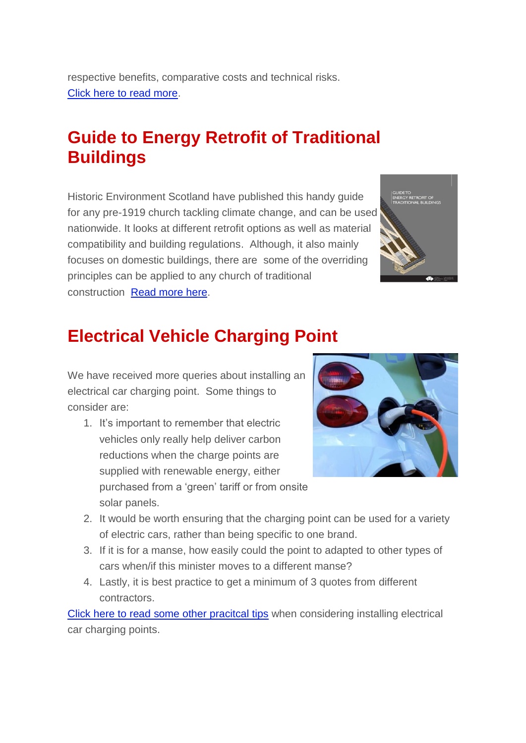respective benefits, comparative costs and technical risks. [Click here to read more.](https://urldefense.proofpoint.com/v2/url?u=https-3A__methodist-2Dnews.org.uk_t_BVI-2D7SLRK-2DWOCGZJ-2D4RVB4B-2D1_c.aspx&d=DwMFaQ&c=euGZstcaTDllvimEN8b7jXrwqOf-v5A_CdpgnVfiiMM&r=HVU4UP2FKbQdEeJRjJMFFTLfEDiOhBmJ91ReO8Puf50&m=yhQSrkfepeTA9JnbGE0SzUaK_37bFPDeNChTV3KqQPY&s=Af5jM125gzbhGUszwomsbeYV7_euR2z0Yuz_3YIWFNo&e=)

### **Guide to Energy Retrofit of Traditional Buildings**

Historic Environment Scotland have published this handy guide for any pre-1919 church tackling climate change, and can be used nationwide. It looks at different retrofit options as well as material compatibility and building regulations. Although, it also mainly focuses on domestic buildings, there are some of the overriding principles can be applied to any church of traditional construction [Read more here.](https://urldefense.proofpoint.com/v2/url?u=https-3A__methodist-2Dnews.org.uk_t_BVI-2D7SLRK-2DWOCGZJ-2D4QYJSY-2D1_c.aspx&d=DwMFaQ&c=euGZstcaTDllvimEN8b7jXrwqOf-v5A_CdpgnVfiiMM&r=HVU4UP2FKbQdEeJRjJMFFTLfEDiOhBmJ91ReO8Puf50&m=yhQSrkfepeTA9JnbGE0SzUaK_37bFPDeNChTV3KqQPY&s=pzSKdtj4u84cmMG8d2oRT5YKWPFBQ2AUkc8ubHI6IP8&e=)



### **Electrical Vehicle Charging Point**

We have received more queries about installing an electrical car charging point. Some things to consider are:

1. It's important to remember that electric vehicles only really help deliver carbon reductions when the charge points are supplied with renewable energy, either purchased from a 'green' tariff or from onsite solar panels.



- 2. It would be worth ensuring that the charging point can be used for a variety of electric cars, rather than being specific to one brand.
- 3. If it is for a manse, how easily could the point to adapted to other types of cars when/if this minister moves to a different manse?
- 4. Lastly, it is best practice to get a minimum of 3 quotes from different contractors.

Click here to read [some other pracitcal tips](https://urldefense.proofpoint.com/v2/url?u=https-3A__methodist-2Dnews.org.uk_t_BVI-2D7SLRK-2DWOCGZJ-2D4RVFYQ-2D1_c.aspx&d=DwMFaQ&c=euGZstcaTDllvimEN8b7jXrwqOf-v5A_CdpgnVfiiMM&r=HVU4UP2FKbQdEeJRjJMFFTLfEDiOhBmJ91ReO8Puf50&m=yhQSrkfepeTA9JnbGE0SzUaK_37bFPDeNChTV3KqQPY&s=evny3AeBKqd6z6X5E3oLWIUsjvq5kRH8VC-8DwSdrtc&e=) when considering installing electrical car charging points.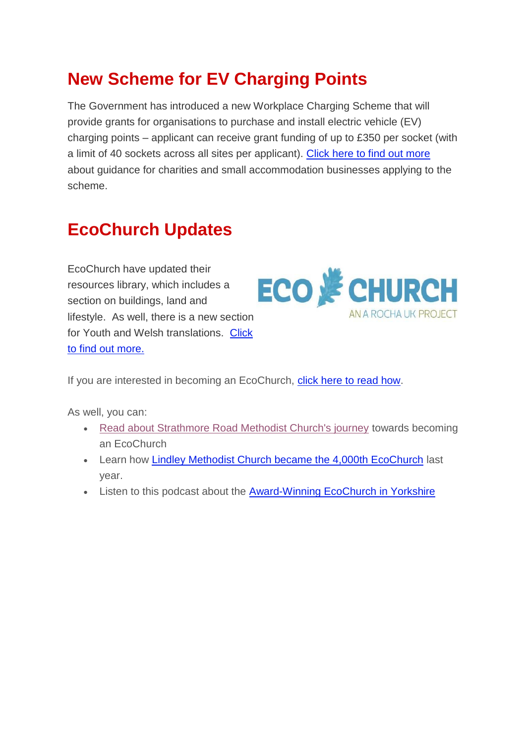### **New Scheme for EV Charging Points**

The Government has introduced a new Workplace Charging Scheme that will provide grants for organisations to purchase and install electric vehicle (EV) charging points – applicant can receive grant funding of up to £350 per socket (with a limit of 40 sockets across all sites per applicant). [Click here to find out more](https://urldefense.proofpoint.com/v2/url?u=https-3A__methodist-2Dnews.org.uk_t_BVI-2D7SLRK-2DWOCGZJ-2D4S4MWI-2D1_c.aspx&d=DwMFaQ&c=euGZstcaTDllvimEN8b7jXrwqOf-v5A_CdpgnVfiiMM&r=HVU4UP2FKbQdEeJRjJMFFTLfEDiOhBmJ91ReO8Puf50&m=yhQSrkfepeTA9JnbGE0SzUaK_37bFPDeNChTV3KqQPY&s=JXKy7gt7EHkbVrmwiA_wwdBwBmeDLWkQewA6taE53Gk&e=) about guidance for charities and small accommodation businesses applying to the scheme.

### **EcoChurch Updates**

EcoChurch have updated their resources library, which includes a section on buildings, land and lifestyle. As well, there is a new section for Youth and Welsh translations. [Click](https://urldefense.proofpoint.com/v2/url?u=https-3A__methodist-2Dnews.org.uk_t_BVI-2D7SLRK-2DWOCGZJ-2D4RX4GX-2D1_c.aspx&d=DwMFaQ&c=euGZstcaTDllvimEN8b7jXrwqOf-v5A_CdpgnVfiiMM&r=HVU4UP2FKbQdEeJRjJMFFTLfEDiOhBmJ91ReO8Puf50&m=yhQSrkfepeTA9JnbGE0SzUaK_37bFPDeNChTV3KqQPY&s=88zM8MXPZQTTxACzjceoEj91XWM3jt0HeZNWNAb4kp0&e=)  [to find out more.](https://urldefense.proofpoint.com/v2/url?u=https-3A__methodist-2Dnews.org.uk_t_BVI-2D7SLRK-2DWOCGZJ-2D4RX4GX-2D1_c.aspx&d=DwMFaQ&c=euGZstcaTDllvimEN8b7jXrwqOf-v5A_CdpgnVfiiMM&r=HVU4UP2FKbQdEeJRjJMFFTLfEDiOhBmJ91ReO8Puf50&m=yhQSrkfepeTA9JnbGE0SzUaK_37bFPDeNChTV3KqQPY&s=88zM8MXPZQTTxACzjceoEj91XWM3jt0HeZNWNAb4kp0&e=)



If you are interested in becoming an EcoChurch, [click here to read how.](https://urldefense.proofpoint.com/v2/url?u=https-3A__methodist-2Dnews.org.uk_t_BVI-2D7SLRK-2DWOCGZJ-2D4RX4SL-2D1_c.aspx&d=DwMFaQ&c=euGZstcaTDllvimEN8b7jXrwqOf-v5A_CdpgnVfiiMM&r=HVU4UP2FKbQdEeJRjJMFFTLfEDiOhBmJ91ReO8Puf50&m=yhQSrkfepeTA9JnbGE0SzUaK_37bFPDeNChTV3KqQPY&s=kjK7wZ3SrSXX3VAGWRLBrRxOwSbrTAj523AsS9Svmok&e=)

As well, you can:

- [Read about Strathmore Road Methodist Church's journey](https://urldefense.proofpoint.com/v2/url?u=https-3A__methodist-2Dnews.org.uk_t_BVI-2D7SLRK-2DWOCGZJ-2D4RX4GZ-2D1_c.aspx&d=DwMFaQ&c=euGZstcaTDllvimEN8b7jXrwqOf-v5A_CdpgnVfiiMM&r=HVU4UP2FKbQdEeJRjJMFFTLfEDiOhBmJ91ReO8Puf50&m=yhQSrkfepeTA9JnbGE0SzUaK_37bFPDeNChTV3KqQPY&s=zC1LFnhr6tRk1M3ORrJlGIxkJUxd3UsICSpH91qaXF0&e=) towards becoming an EcoChurch
- Learn how [Lindley Methodist Church became the 4,000th EcoChurch](https://urldefense.proofpoint.com/v2/url?u=https-3A__methodist-2Dnews.org.uk_t_BVI-2D7SLRK-2DWOCGZJ-2D4RX4SM-2D1_c.aspx&d=DwMFaQ&c=euGZstcaTDllvimEN8b7jXrwqOf-v5A_CdpgnVfiiMM&r=HVU4UP2FKbQdEeJRjJMFFTLfEDiOhBmJ91ReO8Puf50&m=yhQSrkfepeTA9JnbGE0SzUaK_37bFPDeNChTV3KqQPY&s=FBhX8AWSTF-zJ7aih6uytVgOtHz99gaEhGjXnbv81-c&e=) last year.
- Listen to this podcast about the **Award-Winning EcoChurch in Yorkshire**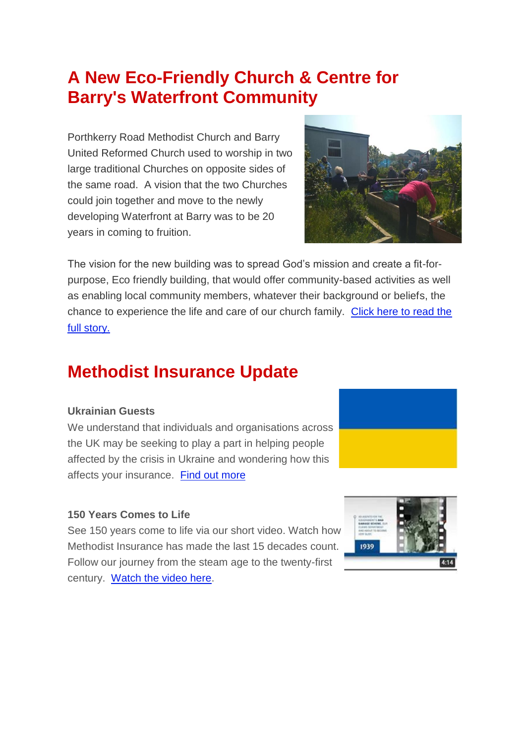### **A New Eco-Friendly Church & Centre for Barry's Waterfront Community**

Porthkerry Road Methodist Church and Barry United Reformed Church used to worship in two large traditional Churches on opposite sides of the same road. A vision that the two Churches could join together and move to the newly developing Waterfront at Barry was to be 20 years in coming to fruition.



The vision for the new building was to spread God's mission and create a fit-forpurpose, Eco friendly building, that would offer community-based activities as well as enabling local community members, whatever their background or beliefs, the chance to experience the life and care of our church family. [Click here to read the](https://urldefense.proofpoint.com/v2/url?u=https-3A__methodist-2Dnews.org.uk_t_BVI-2D7SLRK-2DWOCGZJ-2D4S6GKQ-2D1_c.aspx&d=DwMFaQ&c=euGZstcaTDllvimEN8b7jXrwqOf-v5A_CdpgnVfiiMM&r=HVU4UP2FKbQdEeJRjJMFFTLfEDiOhBmJ91ReO8Puf50&m=yhQSrkfepeTA9JnbGE0SzUaK_37bFPDeNChTV3KqQPY&s=-627S15wqn_-etBmcWQnYL9R45hVI69MpFSSFLA9RQA&e=)  [full story.](https://urldefense.proofpoint.com/v2/url?u=https-3A__methodist-2Dnews.org.uk_t_BVI-2D7SLRK-2DWOCGZJ-2D4S6GKQ-2D1_c.aspx&d=DwMFaQ&c=euGZstcaTDllvimEN8b7jXrwqOf-v5A_CdpgnVfiiMM&r=HVU4UP2FKbQdEeJRjJMFFTLfEDiOhBmJ91ReO8Puf50&m=yhQSrkfepeTA9JnbGE0SzUaK_37bFPDeNChTV3KqQPY&s=-627S15wqn_-etBmcWQnYL9R45hVI69MpFSSFLA9RQA&e=)

### **Methodist Insurance Update**

#### **Ukrainian Guests**

We understand that individuals and organisations across the UK may be seeking to play a part in helping people affected by the crisis in Ukraine and wondering how this affects your insurance. [Find out more](https://urldefense.proofpoint.com/v2/url?u=https-3A__methodist-2Dnews.org.uk_t_BVI-2D7SLRK-2DWOCGZJ-2D4RVHQA-2D1_c.aspx&d=DwMFaQ&c=euGZstcaTDllvimEN8b7jXrwqOf-v5A_CdpgnVfiiMM&r=HVU4UP2FKbQdEeJRjJMFFTLfEDiOhBmJ91ReO8Puf50&m=yhQSrkfepeTA9JnbGE0SzUaK_37bFPDeNChTV3KqQPY&s=pBu_PydFVdVtRqmg1TqcgYtKNWq-6JV3iLvow1GsIhs&e=)

#### **150 Years Comes to Life**

See 150 years come to life via our short video. Watch how Methodist Insurance has made the last 15 decades count. Follow our journey from the steam age to the twenty-first century. [Watch the video here.](https://urldefense.proofpoint.com/v2/url?u=https-3A__methodist-2Dnews.org.uk_t_BVI-2D7SLRK-2DWOCGZJ-2D4S6MTP-2D1_c.aspx&d=DwMFaQ&c=euGZstcaTDllvimEN8b7jXrwqOf-v5A_CdpgnVfiiMM&r=HVU4UP2FKbQdEeJRjJMFFTLfEDiOhBmJ91ReO8Puf50&m=yhQSrkfepeTA9JnbGE0SzUaK_37bFPDeNChTV3KqQPY&s=l2UDNZTenezoXZcHEFWkZnKMz4HcbLzC68QVrsBeRq4&e=)

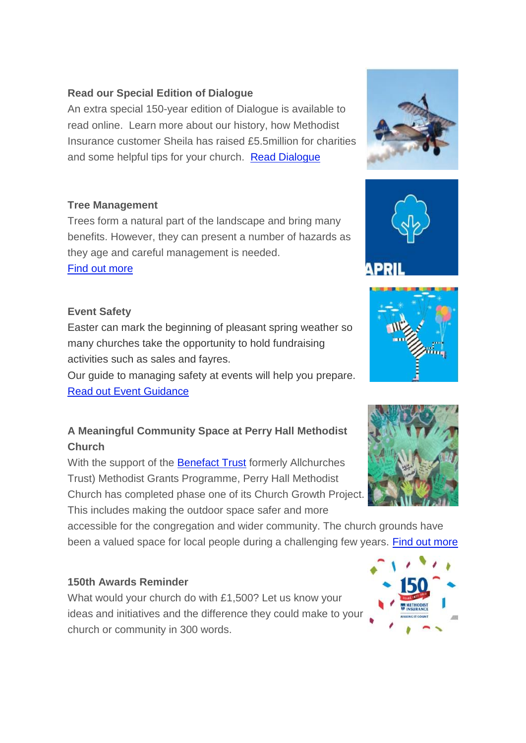#### **Read our Special Edition of Dialogue**

An extra special 150-year edition of Dialogue is available to read online. Learn more about our history, how Methodist Insurance customer Sheila has raised £5.5million for charities and some helpful tips for your church. [Read Dialogue](https://urldefense.proofpoint.com/v2/url?u=https-3A__methodist-2Dnews.org.uk_t_BVI-2D7SLRK-2DWOCGZJ-2D4RVHQD-2D1_c.aspx&d=DwMFaQ&c=euGZstcaTDllvimEN8b7jXrwqOf-v5A_CdpgnVfiiMM&r=HVU4UP2FKbQdEeJRjJMFFTLfEDiOhBmJ91ReO8Puf50&m=yhQSrkfepeTA9JnbGE0SzUaK_37bFPDeNChTV3KqQPY&s=tz1JL3gv0wP4Vg6ppCWUnT_nCBcoJZspLEmGmCD8sA8&e=)

#### **Tree Management**

Trees form a natural part of the landscape and bring many benefits. However, they can present a number of hazards as they age and careful management is needed.

[Find out more](https://urldefense.proofpoint.com/v2/url?u=https-3A__methodist-2Dnews.org.uk_t_BVI-2D7SLRK-2DWOCGZJ-2D4RVHQE-2D1_c.aspx&d=DwMFaQ&c=euGZstcaTDllvimEN8b7jXrwqOf-v5A_CdpgnVfiiMM&r=HVU4UP2FKbQdEeJRjJMFFTLfEDiOhBmJ91ReO8Puf50&m=yhQSrkfepeTA9JnbGE0SzUaK_37bFPDeNChTV3KqQPY&s=6XTI6g4HJQtHISvz_95LXZtXgV0nqjMbKa_ziZy7Djk&e=)

#### **Event Safety**

Easter can mark the beginning of pleasant spring weather so many churches take the opportunity to hold fundraising activities such as sales and fayres.

Our guide to managing safety at events will help you prepare. [Read out Event Guidance](https://urldefense.proofpoint.com/v2/url?u=https-3A__methodist-2Dnews.org.uk_t_BVI-2D7SLRK-2DWOCGZJ-2D4RVHQF-2D1_c.aspx&d=DwMFaQ&c=euGZstcaTDllvimEN8b7jXrwqOf-v5A_CdpgnVfiiMM&r=HVU4UP2FKbQdEeJRjJMFFTLfEDiOhBmJ91ReO8Puf50&m=yhQSrkfepeTA9JnbGE0SzUaK_37bFPDeNChTV3KqQPY&s=lx_GkAfDA4nWtG7R676LAlNb88x8RjNxlDeBybM6uKM&e=)

#### **A Meaningful Community Space at Perry Hall Methodist Church**

With the support of the [Benefact Trust](https://urldefense.proofpoint.com/v2/url?u=https-3A__methodist-2Dnews.org.uk_t_BVI-2D7SLRK-2DWOCGZJ-2D4RVHW2-2D1_c.aspx&d=DwMFaQ&c=euGZstcaTDllvimEN8b7jXrwqOf-v5A_CdpgnVfiiMM&r=HVU4UP2FKbQdEeJRjJMFFTLfEDiOhBmJ91ReO8Puf50&m=yhQSrkfepeTA9JnbGE0SzUaK_37bFPDeNChTV3KqQPY&s=432Ml0Z75gev7uJhcEXM0GW73ndi1tl09StJ2RWvwzA&e=) formerly Allchurches Trust) Methodist Grants Programme, Perry Hall Methodist Church has completed phase one of its Church Growth Project. This includes making the outdoor space safer and more

accessible for the congregation and wider community. The church grounds have been a valued space for local people during a challenging few years. [Find out more](https://urldefense.proofpoint.com/v2/url?u=https-3A__methodist-2Dnews.org.uk_t_BVI-2D7SLRK-2DWOCGZJ-2D4RVHW3-2D1_c.aspx&d=DwMFaQ&c=euGZstcaTDllvimEN8b7jXrwqOf-v5A_CdpgnVfiiMM&r=HVU4UP2FKbQdEeJRjJMFFTLfEDiOhBmJ91ReO8Puf50&m=yhQSrkfepeTA9JnbGE0SzUaK_37bFPDeNChTV3KqQPY&s=HdmOkzVINDbToXBXf1Cn3gXEE7zcHvsak8eJTUKRcrM&e=)

#### **150th Awards Reminder**

What would your church do with £1,500? Let us know your ideas and initiatives and the difference they could make to your church or community in 300 words.









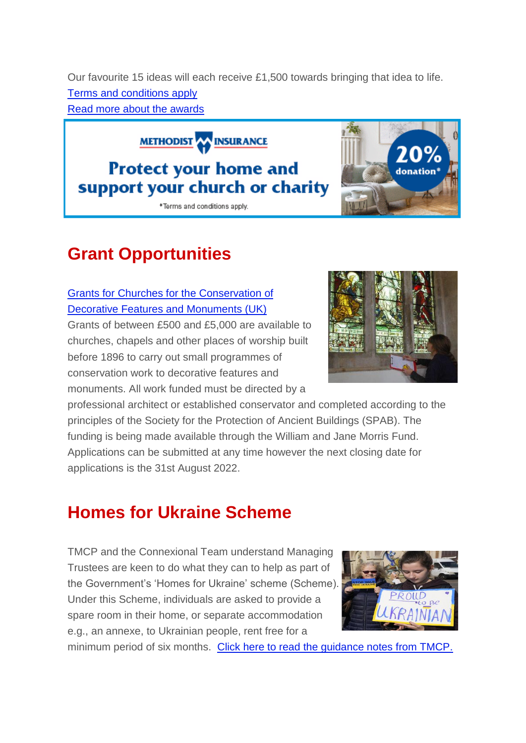Our favourite 15 ideas will each receive £1,500 towards bringing that idea to life. [Terms and conditions apply](https://urldefense.proofpoint.com/v2/url?u=https-3A__methodist-2Dnews.org.uk_t_BVI-2D7SLRK-2DWOCGZJ-2D4RVHW4-2D1_c.aspx&d=DwMFaQ&c=euGZstcaTDllvimEN8b7jXrwqOf-v5A_CdpgnVfiiMM&r=HVU4UP2FKbQdEeJRjJMFFTLfEDiOhBmJ91ReO8Puf50&m=yhQSrkfepeTA9JnbGE0SzUaK_37bFPDeNChTV3KqQPY&s=l63hg_-yv19S_y-T-gPcOGa0DMfmSSLGGVCIuk55sKs&e=) [Read more about the awards](https://urldefense.proofpoint.com/v2/url?u=https-3A__methodist-2Dnews.org.uk_t_BVI-2D7SLRK-2DWOCGZJ-2D4RVHW5-2D1_c.aspx&d=DwMFaQ&c=euGZstcaTDllvimEN8b7jXrwqOf-v5A_CdpgnVfiiMM&r=HVU4UP2FKbQdEeJRjJMFFTLfEDiOhBmJ91ReO8Puf50&m=yhQSrkfepeTA9JnbGE0SzUaK_37bFPDeNChTV3KqQPY&s=Xt7xt3dMyCLoR3t2QV2ahmqSg0UgHfe2F3_yb_fEfoo&e=)

**Grant Opportunities**

#### [Grants for Churches for the Conservation of](https://urldefense.proofpoint.com/v2/url?u=https-3A__methodist-2Dnews.org.uk_t_BVI-2D7SLRK-2DWOCGZJ-2D4RX15S-2D1_c.aspx&d=DwMFaQ&c=euGZstcaTDllvimEN8b7jXrwqOf-v5A_CdpgnVfiiMM&r=HVU4UP2FKbQdEeJRjJMFFTLfEDiOhBmJ91ReO8Puf50&m=yhQSrkfepeTA9JnbGE0SzUaK_37bFPDeNChTV3KqQPY&s=Xx_UPi7vxMAj3sZfeYPu-FlQZ96WcD0hp1IRogs8BLw&e=)  [Decorative Features and Monuments \(UK\)](https://urldefense.proofpoint.com/v2/url?u=https-3A__methodist-2Dnews.org.uk_t_BVI-2D7SLRK-2DWOCGZJ-2D4RX15S-2D1_c.aspx&d=DwMFaQ&c=euGZstcaTDllvimEN8b7jXrwqOf-v5A_CdpgnVfiiMM&r=HVU4UP2FKbQdEeJRjJMFFTLfEDiOhBmJ91ReO8Puf50&m=yhQSrkfepeTA9JnbGE0SzUaK_37bFPDeNChTV3KqQPY&s=Xx_UPi7vxMAj3sZfeYPu-FlQZ96WcD0hp1IRogs8BLw&e=)

Grants of between £500 and £5,000 are available to churches, chapels and other places of worship built before 1896 to carry out small programmes of conservation work to decorative features and monuments. All work funded must be directed by a

professional architect or established conservator and completed according to the principles of the Society for the Protection of Ancient Buildings (SPAB). The funding is being made available through the William and Jane Morris Fund. Applications can be submitted at any time however the next closing date for applications is the 31st August 2022.

### **Homes for Ukraine Scheme**

TMCP and the Connexional Team understand Managing Trustees are keen to do what they can to help as part of the Government's 'Homes for Ukraine' scheme (Scheme). Under this Scheme, individuals are asked to provide a spare room in their home, or separate accommodation e.g., an annexe, to Ukrainian people, rent free for a

minimum period of six months. [Click here to read the guidance notes from TMCP.](https://urldefense.proofpoint.com/v2/url?u=https-3A__methodist-2Dnews.org.uk_t_BVI-2D7SLRK-2DWOCGZJ-2D4RVHQG-2D1_c.aspx&d=DwMFaQ&c=euGZstcaTDllvimEN8b7jXrwqOf-v5A_CdpgnVfiiMM&r=HVU4UP2FKbQdEeJRjJMFFTLfEDiOhBmJ91ReO8Puf50&m=yhQSrkfepeTA9JnbGE0SzUaK_37bFPDeNChTV3KqQPY&s=CLzYbQHnNcAL3H8cqqAfbzCgPBEgh-qTtLNoPd1a150&e=)







**METHODIST AN INSURANCE** 

## **Protect your home and**

#### support your church or charity \*Terms and conditions apply.